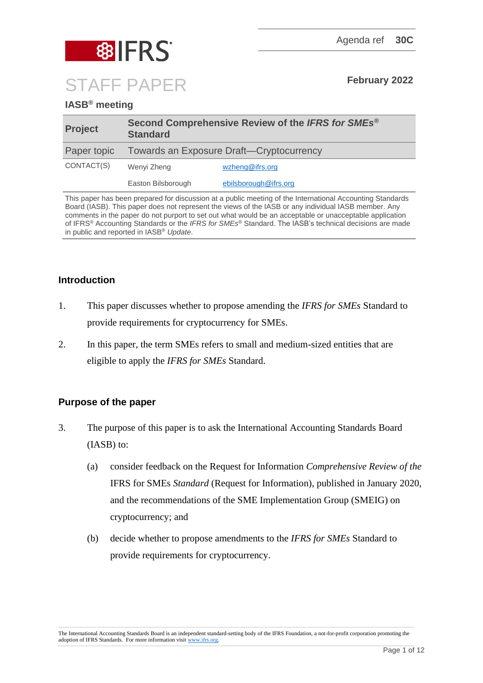

# **IASB® meeting**

| <b>Project</b> | Second Comprehensive Review of the IFRS for SMEs <sup>®</sup><br><b>Standard</b> |                       |
|----------------|----------------------------------------------------------------------------------|-----------------------|
| Paper topic    | Towards an Exposure Draft-Cryptocurrency                                         |                       |
| CONTACT(S)     | Wenyi Zheng                                                                      | wzheng@ifrs.org       |
|                | Easton Bilsborough                                                               | ebilsborough@ifrs.org |

This paper has been prepared for discussion at a public meeting of the International Accounting Standards Board (IASB). This paper does not represent the views of the IASB or any individual IASB member. Any comments in the paper do not purport to set out what would be an acceptable or unacceptable application of IFRS® Accounting Standards or the *IFRS for SMEs*® Standard. The IASB's technical decisions are made in public and reported in IASB® *Update*.

## **Introduction**

- 1. This paper discusses whether to propose amending the *IFRS for SMEs* Standard to provide requirements for cryptocurrency for SMEs.
- 2. In this paper, the term SMEs refers to small and medium-sized entities that are eligible to apply the *IFRS for SMEs* Standard.

## **Purpose of the paper**

- 3. The purpose of this paper is to ask the International Accounting Standards Board (IASB) to:
	- (a) consider feedback on the Request for Information *Comprehensive Review of the*  IFRS for SMEs *Standard* (Request for Information), published in January 2020, and the recommendations of the SME Implementation Group (SMEIG) on cryptocurrency; and
	- (b) decide whether to propose amendments to the *IFRS for SMEs* Standard to provide requirements for cryptocurrency.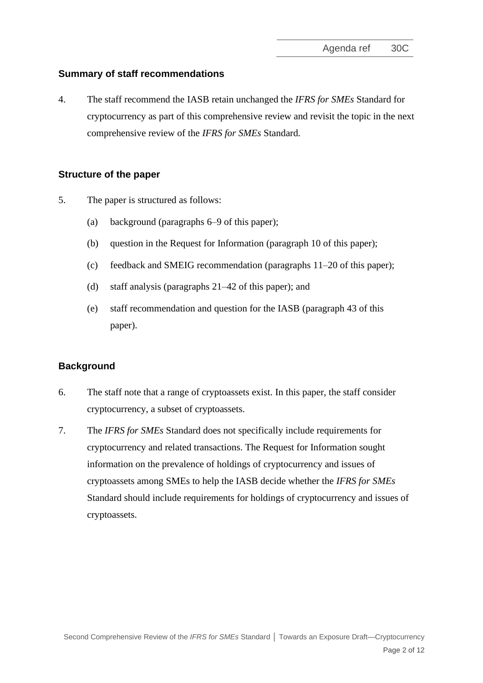# **Summary of staff recommendations**

4. The staff recommend the IASB retain unchanged the *IFRS for SMEs* Standard for cryptocurrency as part of this comprehensive review and revisit the topic in the next comprehensive review of the *IFRS for SMEs* Standard.

# **Structure of the paper**

- 5. The paper is structured as follows:
	- (a) background (paragraphs [6](#page-1-0)[–9](#page-2-0) of this paper);
	- (b) question in the Request for Information (paragraph [10](#page-2-1) of this paper);
	- (c) feedback and SMEIG recommendation (paragraphs [11](#page-3-0)[–20](#page-5-0) of this paper);
	- (d) staff analysis (paragraphs [21](#page-5-1)[–42](#page-10-0) of this paper); and
	- (e) staff recommendation and question for the IASB (paragraph [43](#page-11-0) of this paper).

# **Background**

- <span id="page-1-0"></span>6. The staff note that a range of cryptoassets exist. In this paper, the staff consider cryptocurrency, a subset of cryptoassets.
- 7. The *IFRS for SMEs* Standard does not specifically include requirements for cryptocurrency and related transactions. The Request for Information sought information on the prevalence of holdings of cryptocurrency and issues of cryptoassets among SMEs to help the IASB decide whether the *IFRS for SMEs* Standard should include requirements for holdings of cryptocurrency and issues of cryptoassets.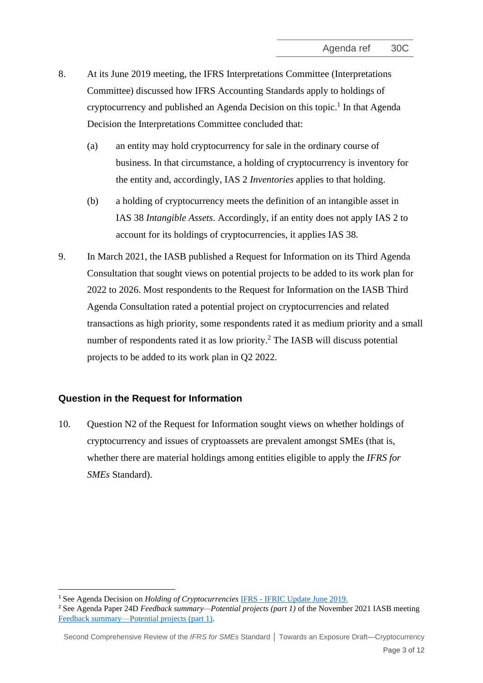- 8. At its June 2019 meeting, the IFRS Interpretations Committee (Interpretations Committee) discussed how IFRS Accounting Standards apply to holdings of cryptocurrency and published an Agenda Decision on this topic. 1 In that Agenda Decision the Interpretations Committee concluded that:
	- (a) an entity may hold cryptocurrency for sale in the ordinary course of business. In that circumstance, a holding of cryptocurrency is inventory for the entity and, accordingly, IAS 2 *Inventories* applies to that holding.
	- (b) a holding of cryptocurrency meets the definition of an intangible asset in IAS 38 *Intangible Assets*. Accordingly, if an entity does not apply IAS 2 to account for its holdings of cryptocurrencies, it applies IAS 38.
- <span id="page-2-0"></span>9. In March 2021, the IASB published a Request for Information on its Third Agenda Consultation that sought views on potential projects to be added to its work plan for 2022 to 2026. Most respondents to the Request for Information on the IASB Third Agenda Consultation rated a potential project on cryptocurrencies and related transactions as high priority, some respondents rated it as medium priority and a small number of respondents rated it as low priority.<sup>2</sup> The IASB will discuss potential projects to be added to its work plan in Q2 2022.

## **Question in the Request for Information**

<span id="page-2-1"></span>10. Question N2 of the Request for Information sought views on whether holdings of cryptocurrency and issues of cryptoassets are prevalent amongst SMEs (that is, whether there are material holdings among entities eligible to apply the *IFRS for SMEs* Standard).

Second Comprehensive Review of the *IFRS for SMEs* Standard **│** Towards an Exposure Draft—Cryptocurrency

<sup>1</sup> See Agenda Decision on *Holding of Cryptocurrencies* IFRS - [IFRIC Update June 2019.](https://www.ifrs.org/news-and-events/updates/ifric/2019/ifric-update-june-2019/#8)

<sup>2</sup> See Agenda Paper 24D *Feedback summary—Potential projects (part 1)* of the November 2021 IASB meeting [Feedback summary—Potential projects \(part 1\).](https://www.ifrs.org/content/dam/ifrs/meetings/2021/november/iasb/ap24d-third-agenda-consultation-feedback-summary-potential-projects-part-1.pdf)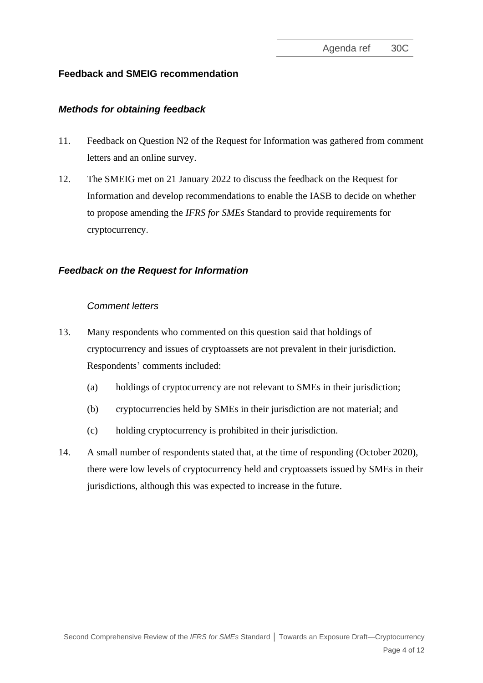# **Feedback and SMEIG recommendation**

## *Methods for obtaining feedback*

- <span id="page-3-0"></span>11. Feedback on Question N2 of the Request for Information was gathered from comment letters and an online survey.
- 12. The SMEIG met on 21 January 2022 to discuss the feedback on the Request for Information and develop recommendations to enable the IASB to decide on whether to propose amending the *IFRS for SMEs* Standard to provide requirements for cryptocurrency.

# *Feedback on the Request for Information*

### *Comment letters*

- <span id="page-3-1"></span>13. Many respondents who commented on this question said that holdings of cryptocurrency and issues of cryptoassets are not prevalent in their jurisdiction. Respondents' comments included:
	- (a) holdings of cryptocurrency are not relevant to SMEs in their jurisdiction;
	- (b) cryptocurrencies held by SMEs in their jurisdiction are not material; and
	- (c) holding cryptocurrency is prohibited in their jurisdiction.
- <span id="page-3-2"></span>14. A small number of respondents stated that, at the time of responding (October 2020), there were low levels of cryptocurrency held and cryptoassets issued by SMEs in their jurisdictions, although this was expected to increase in the future.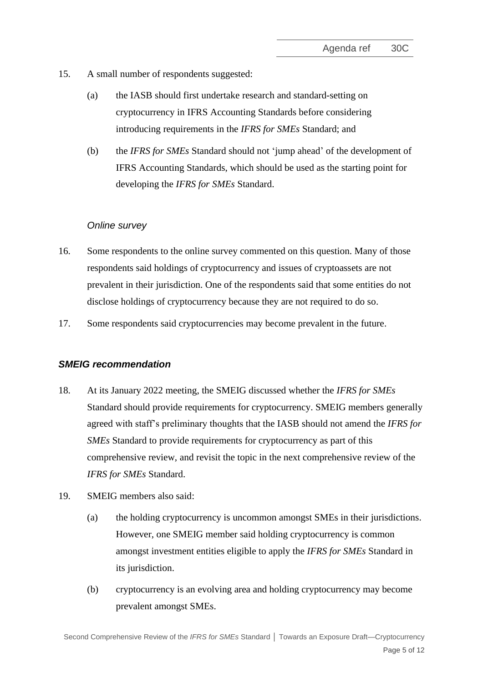- <span id="page-4-2"></span>15. A small number of respondents suggested:
	- (a) the IASB should first undertake research and standard-setting on cryptocurrency in IFRS Accounting Standards before considering introducing requirements in the *IFRS for SMEs* Standard; and
	- (b) the *IFRS for SMEs* Standard should not 'jump ahead' of the development of IFRS Accounting Standards, which should be used as the starting point for developing the *IFRS for SMEs* Standard.

### *Online survey*

- <span id="page-4-0"></span>16. Some respondents to the online survey commented on this question. Many of those respondents said holdings of cryptocurrency and issues of cryptoassets are not prevalent in their jurisdiction. One of the respondents said that some entities do not disclose holdings of cryptocurrency because they are not required to do so.
- <span id="page-4-1"></span>17. Some respondents said cryptocurrencies may become prevalent in the future.

### *SMEIG recommendation*

- 18. At its January 2022 meeting, the SMEIG discussed whether the *IFRS for SMEs* Standard should provide requirements for cryptocurrency. SMEIG members generally agreed with staff's preliminary thoughts that the IASB should not amend the *IFRS for SMEs* Standard to provide requirements for cryptocurrency as part of this comprehensive review, and revisit the topic in the next comprehensive review of the *IFRS for SMEs* Standard.
- 19. SMEIG members also said:
	- (a) the holding cryptocurrency is uncommon amongst SMEs in their jurisdictions. However, one SMEIG member said holding cryptocurrency is common amongst investment entities eligible to apply the *IFRS for SMEs* Standard in its jurisdiction.
	- (b) cryptocurrency is an evolving area and holding cryptocurrency may become prevalent amongst SMEs.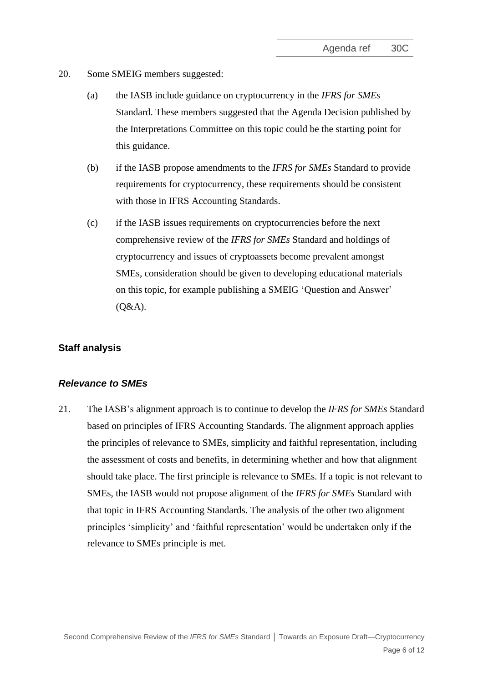- <span id="page-5-0"></span>20. Some SMEIG members suggested:
	- (a) the IASB include guidance on cryptocurrency in the *IFRS for SMEs* Standard. These members suggested that the Agenda Decision published by the Interpretations Committee on this topic could be the starting point for this guidance.
	- (b) if the IASB propose amendments to the *IFRS for SMEs* Standard to provide requirements for cryptocurrency, these requirements should be consistent with those in IFRS Accounting Standards.
	- (c) if the IASB issues requirements on cryptocurrencies before the next comprehensive review of the *IFRS for SMEs* Standard and holdings of cryptocurrency and issues of cryptoassets become prevalent amongst SMEs, consideration should be given to developing educational materials on this topic, for example publishing a SMEIG 'Question and Answer' (Q&A).

#### **Staff analysis**

#### *Relevance to SMEs*

<span id="page-5-1"></span>21. The IASB's alignment approach is to continue to develop the *IFRS for SMEs* Standard based on principles of IFRS Accounting Standards. The alignment approach applies the principles of relevance to SMEs, simplicity and faithful representation, including the assessment of costs and benefits, in determining whether and how that alignment should take place. The first principle is relevance to SMEs. If a topic is not relevant to SMEs, the IASB would not propose alignment of the *IFRS for SMEs* Standard with that topic in IFRS Accounting Standards. The analysis of the other two alignment principles 'simplicity' and 'faithful representation' would be undertaken only if the relevance to SMEs principle is met.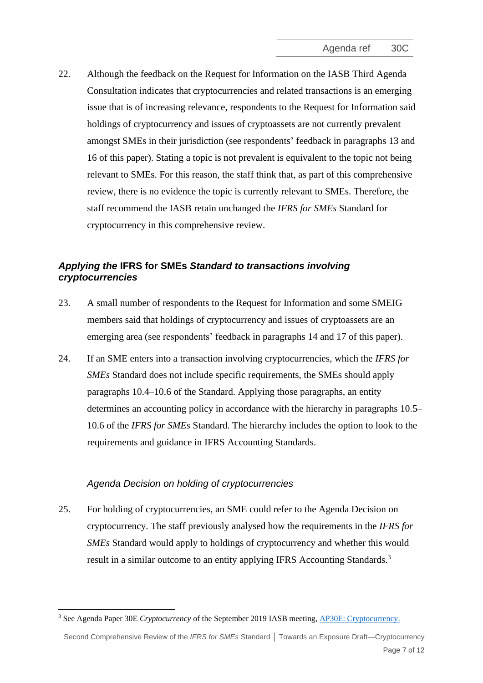22. Although the feedback on the Request for Information on the IASB Third Agenda Consultation indicates that cryptocurrencies and related transactions is an emerging issue that is of increasing relevance, respondents to the Request for Information said holdings of cryptocurrency and issues of cryptoassets are not currently prevalent amongst SMEs in their jurisdiction (see respondents' feedback in paragraphs [13](#page-3-1) and [16](#page-4-0) of this paper). Stating a topic is not prevalent is equivalent to the topic not being relevant to SMEs. For this reason, the staff think that, as part of this comprehensive review, there is no evidence the topic is currently relevant to SMEs. Therefore, the staff recommend the IASB retain unchanged the *IFRS for SMEs* Standard for cryptocurrency in this comprehensive review.

# *Applying the* **IFRS for SMEs** *Standard to transactions involving cryptocurrencies*

- 23. A small number of respondents to the Request for Information and some SMEIG members said that holdings of cryptocurrency and issues of cryptoassets are an emerging area (see respondents' feedback in paragraphs [14](#page-3-2) and [17](#page-4-1) of this paper).
- 24. If an SME enters into a transaction involving cryptocurrencies, which the *IFRS for SMEs* Standard does not include specific requirements, the SMEs should apply paragraphs 10.4–10.6 of the Standard. Applying those paragraphs, an entity determines an accounting policy in accordance with the hierarchy in paragraphs 10.5– 10.6 of the *IFRS for SMEs* Standard. The hierarchy includes the option to look to the requirements and guidance in IFRS Accounting Standards.

## *Agenda Decision on holding of cryptocurrencies*

25. For holding of cryptocurrencies, an SME could refer to the Agenda Decision on cryptocurrency. The staff previously analysed how the requirements in the *IFRS for SMEs* Standard would apply to holdings of cryptocurrency and whether this would result in a similar outcome to an entity applying IFRS Accounting Standards.<sup>3</sup>

<sup>3</sup> See Agenda Paper 30E *Cryptocurrency* of the September 2019 IASB meeting, [AP30E: Cryptocurrency.](https://www.ifrs.org/content/dam/ifrs/meetings/2019/september/iasb/ap30e-smes-review.pdf)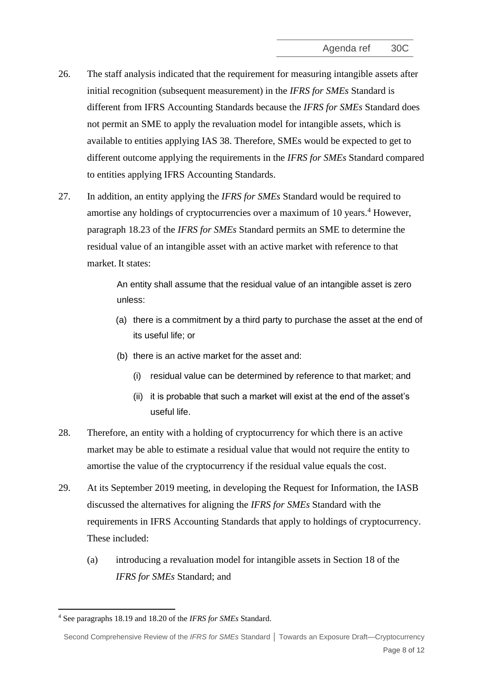- 26. The staff analysis indicated that the requirement for measuring intangible assets after initial recognition (subsequent measurement) in the *IFRS for SMEs* Standard is different from IFRS Accounting Standards because the *IFRS for SMEs* Standard does not permit an SME to apply the revaluation model for intangible assets, which is available to entities applying IAS 38. Therefore, SMEs would be expected to get to different outcome applying the requirements in the *IFRS for SMEs* Standard compared to entities applying IFRS Accounting Standards.
- <span id="page-7-1"></span>27. In addition, an entity applying the *IFRS for SMEs* Standard would be required to amortise any holdings of cryptocurrencies over a maximum of 10 years. <sup>4</sup> However, paragraph 18.23 of the *IFRS for SMEs* Standard permits an SME to determine the residual value of an intangible asset with an active market with reference to that market. It states:

An entity shall assume that the residual value of an intangible asset is zero unless:

- (a) there is a commitment by a third party to purchase the asset at the end of its useful life; or
- (b) there is an active market for the asset and:
	- (i) residual value can be determined by reference to that market; and
	- (ii) it is probable that such a market will exist at the end of the asset's useful life.
- <span id="page-7-2"></span>28. Therefore, an entity with a holding of cryptocurrency for which there is an active market may be able to estimate a residual value that would not require the entity to amortise the value of the cryptocurrency if the residual value equals the cost.
- <span id="page-7-0"></span>29. At its September 2019 meeting, in developing the Request for Information, the IASB discussed the alternatives for aligning the *IFRS for SMEs* Standard with the requirements in IFRS Accounting Standards that apply to holdings of cryptocurrency. These included:
	- (a) introducing a revaluation model for intangible assets in Section 18 of the *IFRS for SMEs* Standard; and

<sup>4</sup> See paragraphs 18.19 and 18.20 of the *IFRS for SMEs* Standard.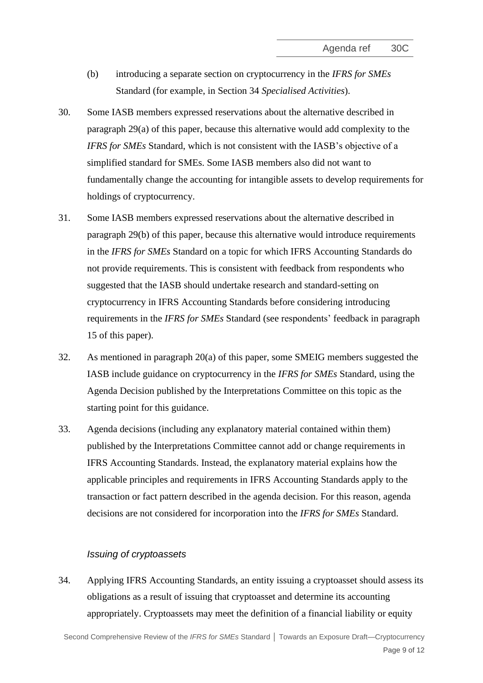- (b) introducing a separate section on cryptocurrency in the *IFRS for SMEs* Standard (for example, in Section 34 *Specialised Activities*).
- <span id="page-8-1"></span>30. Some IASB members expressed reservations about the alternative described in paragraph [29\(](#page-7-0)a) of this paper, because this alternative would add complexity to the *IFRS for SMEs* Standard, which is not consistent with the IASB's objective of a simplified standard for SMEs. Some IASB members also did not want to fundamentally change the accounting for intangible assets to develop requirements for holdings of cryptocurrency.
- <span id="page-8-2"></span>31. Some IASB members expressed reservations about the alternative described in paragraph [29\(](#page-7-0)b) of this paper, because this alternative would introduce requirements in the *IFRS for SMEs* Standard on a topic for which IFRS Accounting Standards do not provide requirements. This is consistent with feedback from respondents who suggested that the IASB should undertake research and standard-setting on cryptocurrency in IFRS Accounting Standards before considering introducing requirements in the *IFRS for SMEs* Standard (see respondents' feedback in paragraph [15](#page-4-2) of this paper).
- 32. As mentioned in paragraph [20\(](#page-5-0)a) of this paper, some SMEIG members suggested the IASB include guidance on cryptocurrency in the *IFRS for SMEs* Standard, using the Agenda Decision published by the Interpretations Committee on this topic as the starting point for this guidance.
- 33. Agenda decisions (including any explanatory material contained within them) published by the Interpretations Committee cannot add or change requirements in IFRS Accounting Standards. Instead, the explanatory material explains how the applicable principles and requirements in IFRS Accounting Standards apply to the transaction or fact pattern described in the agenda decision. For this reason, agenda decisions are not considered for incorporation into the *IFRS for SMEs* Standard.

### *Issuing of cryptoassets*

<span id="page-8-0"></span>34. Applying IFRS Accounting Standards, an entity issuing a cryptoasset should assess its obligations as a result of issuing that cryptoasset and determine its accounting appropriately. Cryptoassets may meet the definition of a financial liability or equity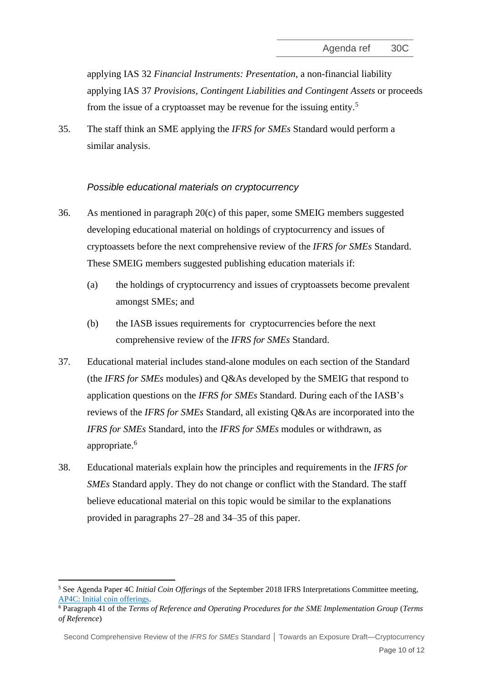applying IAS 32 *Financial Instruments: Presentation*, a non-financial liability applying IAS 37 *Provisions, Contingent Liabilities and Contingent Assets* or proceeds from the issue of a cryptoasset may be revenue for the issuing entity.<sup>5</sup>

<span id="page-9-0"></span>35. The staff think an SME applying the *IFRS for SMEs* Standard would perform a similar analysis.

## *Possible educational materials on cryptocurrency*

- 36. As mentioned in paragraph [20\(](#page-5-0)c) of this paper, some SMEIG members suggested developing educational material on holdings of cryptocurrency and issues of cryptoassets before the next comprehensive review of the *IFRS for SMEs* Standard. These SMEIG members suggested publishing education materials if:
	- (a) the holdings of cryptocurrency and issues of cryptoassets become prevalent amongst SMEs; and
	- (b) the IASB issues requirements for cryptocurrencies before the next comprehensive review of the *IFRS for SMEs* Standard.
- <span id="page-9-1"></span>37. Educational material includes stand-alone modules on each section of the Standard (the *IFRS for SMEs* modules) and Q&As developed by the SMEIG that respond to application questions on the *IFRS for SMEs* Standard. During each of the IASB's reviews of the *IFRS for SMEs* Standard, all existing Q&As are incorporated into the *IFRS for SMEs* Standard, into the *IFRS for SMEs* modules or withdrawn, as appropriate. 6
- 38. Educational materials explain how the principles and requirements in the *IFRS for SMEs* Standard apply. They do not change or conflict with the Standard. The staff believe educational material on this topic would be similar to the explanations provided in paragraphs [27](#page-7-1)[–28](#page-7-2) and [34–](#page-8-0)[35](#page-9-0) of this paper.

<sup>5</sup> See Agenda Paper 4C *Initial Coin Offerings* of the September 2018 IFRS Interpretations Committee meeting, [AP4C: Initial coin offerings.](https://www.ifrs.org/content/dam/ifrs/meetings/2018/september/ifric/ap04c.pdf)

<sup>6</sup> Paragraph 41 of the *Terms of Reference and Operating Procedures for the SME Implementation Group* (*Terms of Reference*)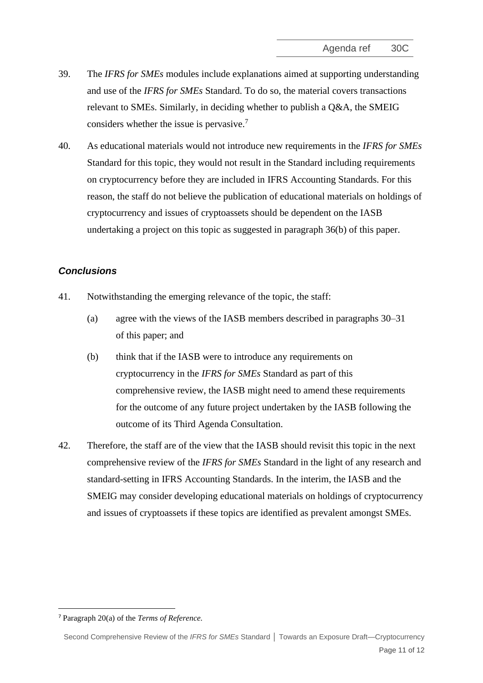- 39. The *IFRS for SMEs* modules include explanations aimed at supporting understanding and use of the *IFRS for SMEs* Standard. To do so, the material covers transactions relevant to SMEs. Similarly, in deciding whether to publish a Q&A, the SMEIG considers whether the issue is pervasive.<sup>7</sup>
- 40. As educational materials would not introduce new requirements in the *IFRS for SMEs* Standard for this topic, they would not result in the Standard including requirements on cryptocurrency before they are included in IFRS Accounting Standards. For this reason, the staff do not believe the publication of educational materials on holdings of cryptocurrency and issues of cryptoassets should be dependent on the IASB undertaking a project on this topic as suggested in paragraph [36\(b\)](#page-9-1) of this paper.

## *Conclusions*

- 41. Notwithstanding the emerging relevance of the topic, the staff:
	- (a) agree with the views of the IASB members described in paragraphs [30–](#page-8-1)[31](#page-8-2) of this paper; and
	- (b) think that if the IASB were to introduce any requirements on cryptocurrency in the *IFRS for SMEs* Standard as part of this comprehensive review, the IASB might need to amend these requirements for the outcome of any future project undertaken by the IASB following the outcome of its Third Agenda Consultation.
- <span id="page-10-0"></span>42. Therefore, the staff are of the view that the IASB should revisit this topic in the next comprehensive review of the *IFRS for SMEs* Standard in the light of any research and standard-setting in IFRS Accounting Standards. In the interim, the IASB and the SMEIG may consider developing educational materials on holdings of cryptocurrency and issues of cryptoassets if these topics are identified as prevalent amongst SMEs.

<sup>7</sup> Paragraph 20(a) of the *Terms of Reference.*